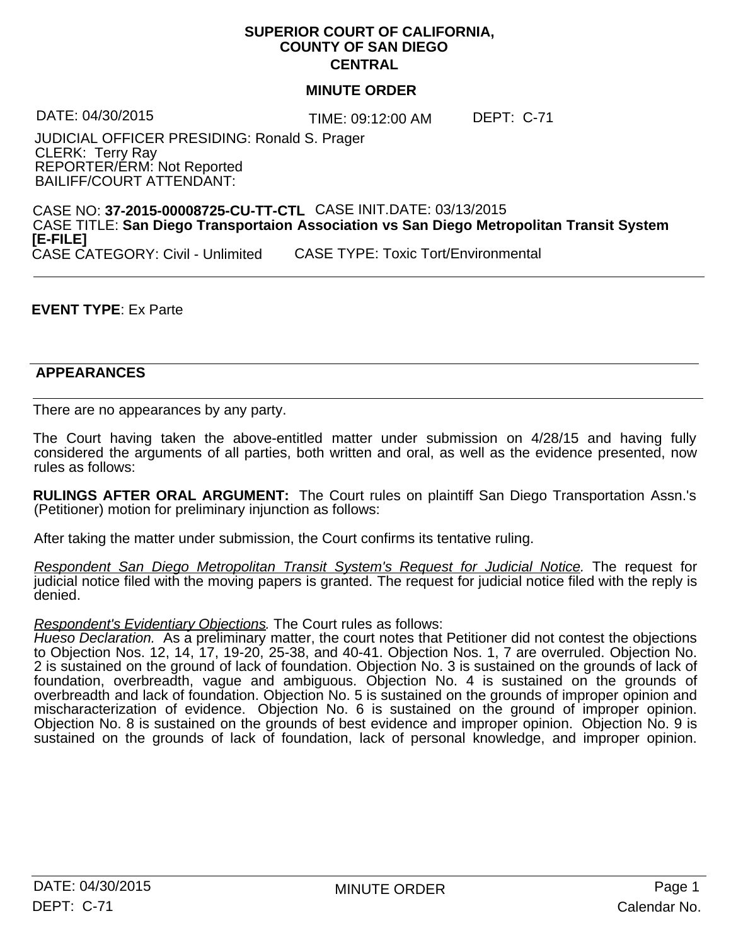## **SUPERIOR COURT OF CALIFORNIA, COUNTY OF SAN DIEGO CENTRAL**

#### **MINUTE ORDER**

TIME: 09:12:00 AM DATE: 04/30/2015 DEPT: C-71

JUDICIAL OFFICER PRESIDING: Ronald S. Prager CLERK: Terry Ray REPORTER/ERM: Not Reported BAILIFF/COURT ATTENDANT:

CASE NO: **37-2015-00008725-CU-TT-CTL** CASE INIT.DATE: 03/13/2015 CASE TITLE: **San Diego Transportaion Association vs San Diego Metropolitan Transit System [E-FILE]** CASE TYPE: Toxic Tort/Environmental

## **EVENT TYPE**: Ex Parte

#### **APPEARANCES** STOLOURS AND STOLOURS ARE STOLEN ASSESSED.

There are no appearances by any party.

The Court having taken the above-entitled matter under submission on 4/28/15 and having fully considered the arguments of all parties, both written and oral, as well as the evidence presented, now rules as follows:

**RULINGS AFTER ORAL ARGUMENT:** The Court rules on plaintiff San Diego Transportation Assn.'s (Petitioner) motion for preliminary injunction as follows:

After taking the matter under submission, the Court confirms its tentative ruling.

*Respondent San Diego Metropolitan Transit System's Request for Judicial Notice.* The request for judicial notice filed with the moving papers is granted. The request for judicial notice filed with the reply is denied.

*Respondent's Evidentiary Objections.* The Court rules as follows:

*Hueso Declaration.* As a preliminary matter, the court notes that Petitioner did not contest the objections to Objection Nos. 12, 14, 17, 19-20, 25-38, and 40-41. Objection Nos. 1,7 are overruled. Objection No. 2 is sustained on the ground of lack of foundation. Objection No. 3 is sustained on the grounds of lack of foundation, overbreadth, vague and ambiguous. Objection No. 4 is sustained on the grounds of overbreadth and lack of foundation. Objection No. 5 is sustained on the grounds of improper opinion and mischaracterization of evidence. Objection No. 6 is sustained on the ground of improper opinion. Objection No. 8 is sustained on the grounds of best evidence and improper opinion. Objection No. 9 is sustained on the grounds of lack of foundation, lack of personal knowledge, and improper opinion.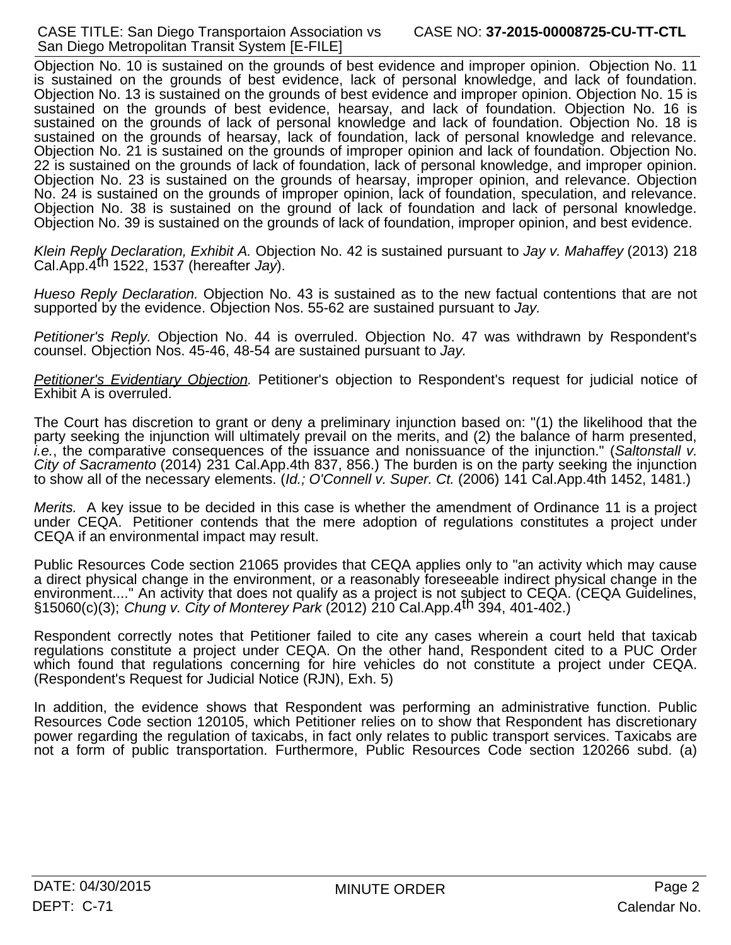Objection No. 10 is sustained on the grounds of best evidence and improper opinion. Objection No. 11 is sustained on the grounds of best evidence, lack of personal knowledge, and lack of foundation. Objection No. 13 is sustained on the grounds of best evidence and improper opinion. Objection No. 15 is sustained on the grounds of best evidence, hearsay, and lack of foundation. Objection No. 16 is sustained on the grounds of lack of personal knowledge and lack of foundation. Objection No. 18 is sustained on the grounds of hearsay, lack of foundation, lack of personal knowledge and relevance. Objection No. 21 is sustained on the grounds of improper opinion and lack of foundation. Objection No. 22 is sustained on the grounds of lack of foundation, lack of personal knowledge, and improper opinion. Objection No. 23 is sustained on the grounds of hearsay, improper opinion, and relevance. Objection No. 24 is sustained on the grounds of improper opinion, lack of foundation, speculation, and relevance. Objection No. 38 is sustained on the ground of lack of foundation and lack of personal knowledge. Objection No. 39 is sustained on the grounds of lack of foundation, improper opinion, and best evidence.

*Klein Reply Declaration, Exhibit A.* Objection No. 42 is sustained pursuant to *Jay v. Mahaffey* (2013) 218 Cal.App.4th 1522, 1537 (hereafter *Jay*).

*Hueso Reply Declaration.* Objection No. 43 is sustained as to the new factual contentions that are not supported by the evidence. Objection Nos. 55-62 are sustained pursuant to *Jay.*

*Petitioner's Reply.* Objection No. 44 is overruled. Objection No. 47 was withdrawn by Respondent's counsel. Objection Nos. 45-46, 48-54 are sustained pursuant to *Jay.*

*Petitioner's Evidentiary Objection.* Petitioner's objection to Respondent's request for judicial notice of Exhibit A is overruled.

The Court has discretion to grant or deny a preliminary injunction based on: "(1) the likelihood that the party seeking the injunction will ultimately prevail on the merits, and (2) the balance of harm presented, *i.e.*, the comparative consequences of the issuance and nonissuance of the injunction." (*Saltonstall v. City of Sacramento* (2014) 231 Cal.App.4th 837, 856.) The burden is on the party seeking the injunction to show all of the necessary elements. (*Id.; O'Connell v. Super. Ct.* (2006) 141 Cal.App.4th 1452, 1481.)

*Merits.* A key issue to be decided in this case is whether the amendment of Ordinance 11 is a project under CEQA. Petitioner contends that the mere adoption of regulations constitutes a project under CEQA if an environmental impact may result.

Public Resources Code section 21065 provides that CEQA applies only to "an activity which may cause a direct physical change in the environment, or a reasonably foreseeable indirect physical change in the environment...." An activity that does not qualify as a project is not subject to CEQA. (CEQA Guidelines, §15060(c)(3); *Chung v. City of Monterey Park* (2012) 210 Cal.App.4th 394, 401-402.)

Respondent correctly notes that Petitioner failed to cite any cases wherein a court held that taxicab regulations constitute a project under CEQA. On the other hand, Respondent cited to a PUC Order which found that regulations concerning for hire vehicles do not constitute a project under CEQA. (Respondent's Request for Judicial Notice (RJN), Exh. 5)

In addition, the evidence shows that Respondent was performing an administrative function. Public Resources Code section 120105, which Petitioner relies on to show that Respondent has discretionary power regarding the regulation of taxicabs, in fact only relates to public transport services. Taxicabs are not a form of public transportation. Furthermore, Public Resources Code section 120266 subd. (a)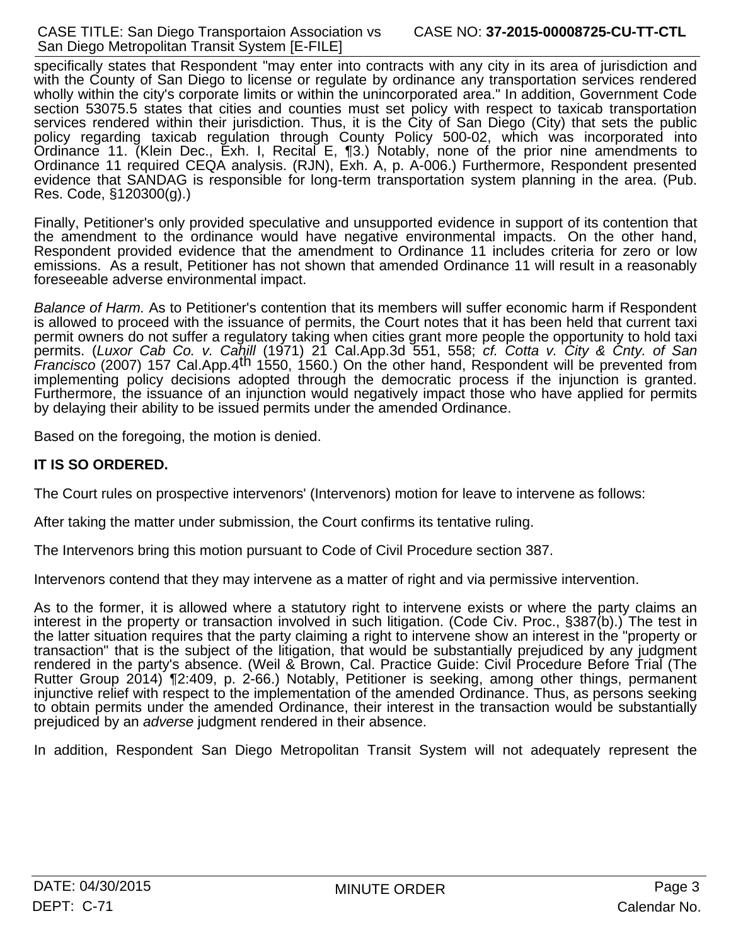specifically states that Respondent "may enter into contracts with any city in its area of jurisdiction and with the County of San Diego to license or regulate by ordinance any transportation services rendered wholly within the city's corporate limits or within the unincorporated area." In addition, Government Code section 53075.5 states that cities and counties must set policy with respect to taxicab transportation services rendered within their jurisdiction. Thus, it is the City of San Diego (City) that sets the public policy regarding taxicab regulation through County Policy 500-02, which was incorporated into Ordinance 11. (Klein Dec., Exh. I, Recital E, ¶3.) Notably, none of the prior nine amendments to Ordinance 11 required CEQA analysis. (RJN), Exh. A, p. A-006.) Furthermore, Respondent presented evidence that SANDAG is responsible for long-term transportation system planning in the area. (Pub. Res. Code, §120300(g).)

Finally, Petitioner's only provided speculative and unsupported evidence in support of its contention that the amendment to the ordinance would have negative environmental impacts. On the other hand, Respondent provided evidence that the amendment to Ordinance 11 includes criteria for zero or low emissions. As a result, Petitioner has not shown that amended Ordinance 11 will result in a reasonably foreseeable adverse environmental impact.

*Balance of Harm.* As to Petitioner's contention that its members will suffer economic harm if Respondent is allowed to proceed with the issuance of permits, the Court notes that ithas been held that current taxi permit owners do not suffer a regulatory taking when cities grant more people the opportunity to hold taxi permits. (*Luxor Cab Co. v. Cahill* (1971) 21 Cal.App.3d 551, 558; *cf. Cotta v. City & Cnty. of San Francisco* (2007) 157 Cal.App.4th 1550, 1560.) On the other hand, Respondent will be prevented from implementing policy decisions adopted through the democratic process if the injunction is granted. Furthermore, the issuance of an injunction would negatively impact those who have applied for permits by delaying their ability to be issued permits under the amended Ordinance.

Based on the foregoing, the motion is denied.

# **IT IS SO ORDERED.**

The Court rules on prospective intervenors' (Intervenors) motion for leave to intervene as follows:

After taking the matter under submission, the Court confirms its tentative ruling.

The Intervenors bring this motion pursuant to Code of Civil Procedure section 387.

Intervenors contend that they may intervene as a matter of right and via permissive intervention.

As to the former, it is allowed where a statutory right to intervene exists or where the party claims an interest in the property or transaction involved in such litigation. (Code Civ. Proc., §387(b).) The test in the latter situation requires that the party claiming a right to intervene show an interest in the "property or transaction" that is the subject of the litigation, that would be substantially prejudiced by any judgment rendered in the party's absence. (Weil & Brown, Cal. Practice Guide: Civil Procedure Before Trial (The Rutter Group 2014) ¶2:409, p. 2-66.) Notably, Petitioner is seeking, among other things, permanent injunctive relief with respect to the implementation of the amended Ordinance. Thus, as persons seeking to obtain permits under the amended Ordinance, their interest in the transaction would be substantially prejudiced by an *adverse* judgment rendered in their absence.

In addition, Respondent San Diego Metropolitan Transit System will not adequately represent the